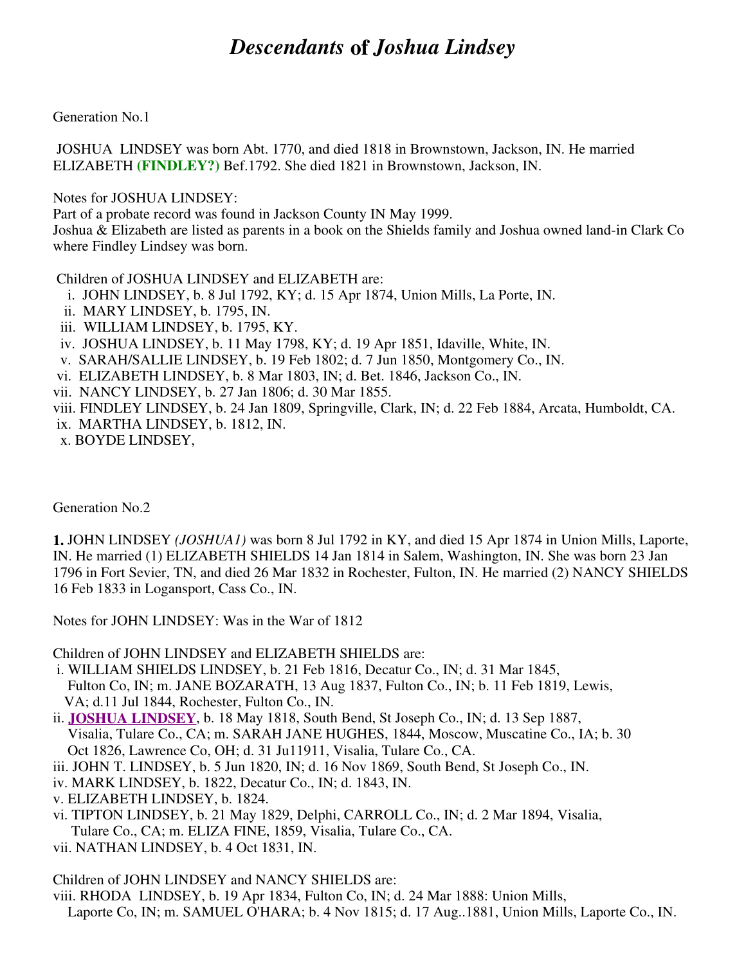## *Descendants* **of** *Joshua Lindsey*

Generation No.1

 JOSHUA LINDSEY was born Abt. 1770, and died 1818 in Brownstown, Jackson, IN. He married ELIZABETH **(FINDLEY?)** Bef.1792. She died 1821 in Brownstown, Jackson, IN.

Notes for JOSHUA LINDSEY:

Part of a probate record was found in Jackson County IN May 1999.

Joshua & Elizabeth are listed as parents in a book on the Shields family and Joshua owned land-in Clark Co where Findley Lindsey was born.

Children of JOSHUA LINDSEY and ELIZABETH are:

- i. JOHN LINDSEY, b. 8 Jul 1792, KY; d. 15 Apr 1874, Union Mills, La Porte, IN.
- ii. MARY LINDSEY, b. 1795, IN.
- iii. WILLIAM LINDSEY, b. 1795, KY.
- iv. JOSHUA LINDSEY, b. 11 May 1798, KY; d. 19 Apr 1851, Idaville, White, IN.
- v. SARAH/SALLIE LINDSEY, b. 19 Feb 1802; d. 7 Jun 1850, Montgomery Co., IN.
- vi. ELIZABETH LINDSEY, b. 8 Mar 1803, IN; d. Bet. 1846, Jackson Co., IN.
- vii. NANCY LINDSEY, b. 27 Jan 1806; d. 30 Mar 1855.
- viii. FINDLEY LINDSEY, b. 24 Jan 1809, Springville, Clark, IN; d. 22 Feb 1884, Arcata, Humboldt, CA.
- ix. MARTHA LINDSEY, b. 1812, IN.
- x. BOYDE LINDSEY,

Generation No.2

**1.** JOHN LINDSEY *(JOSHUA1)* was born 8 Jul 1792 in KY, and died 15 Apr 1874 in Union Mills, Laporte, IN. He married (1) ELIZABETH SHIELDS 14 Jan 1814 in Salem, Washington, IN. She was born 23 Jan 1796 in Fort Sevier, TN, and died 26 Mar 1832 in Rochester, Fulton, IN. He married (2) NANCY SHIELDS 16 Feb 1833 in Logansport, Cass Co., IN.

Notes for JOHN LINDSEY: Was in the War of 1812

Children of JOHN LINDSEY and ELIZABETH SHIELDS are:

 i. WILLIAM SHIELDS LINDSEY, b. 21 Feb 1816, Decatur Co., IN; d. 31 Mar 1845, Fulton Co, IN; m. JANE BOZARATH, 13 Aug 1837, Fulton Co., IN; b. 11 Feb 1819, Lewis, VA; d.11 Jul 1844, Rochester, Fulton Co., IN.

ii. **JOSHUA LINDSEY**, b. 18 May 1818, South Bend, St Joseph Co., IN; d. 13 Sep 1887, Visalia, Tulare Co., CA; m. SARAH JANE HUGHES, 1844, Moscow, Muscatine Co., IA; b. 30 Oct 1826, Lawrence Co, OH; d. 31 Ju11911, Visalia, Tulare Co., CA.

- iii. JOHN T. LINDSEY, b. 5 Jun 1820, IN; d. 16 Nov 1869, South Bend, St Joseph Co., IN.
- iv. MARK LINDSEY, b. 1822, Decatur Co., IN; d. 1843, IN.
- v. ELIZABETH LINDSEY, b. 1824.
- vi. TIPTON LINDSEY, b. 21 May 1829, Delphi, CARROLL Co., IN; d. 2 Mar 1894, Visalia, Tulare Co., CA; m. ELIZA FINE, 1859, Visalia, Tulare Co., CA.
- vii. NATHAN LINDSEY, b. 4 Oct 1831, IN.

Children of JOHN LINDSEY and NANCY SHIELDS are:

viii. RHODA LINDSEY, b. 19 Apr 1834, Fulton Co, IN; d. 24 Mar 1888: Union Mills,

Laporte Co, IN; m. SAMUEL O'HARA; b. 4 Nov 1815; d. 17 Aug..1881, Union Mills, Laporte Co., IN.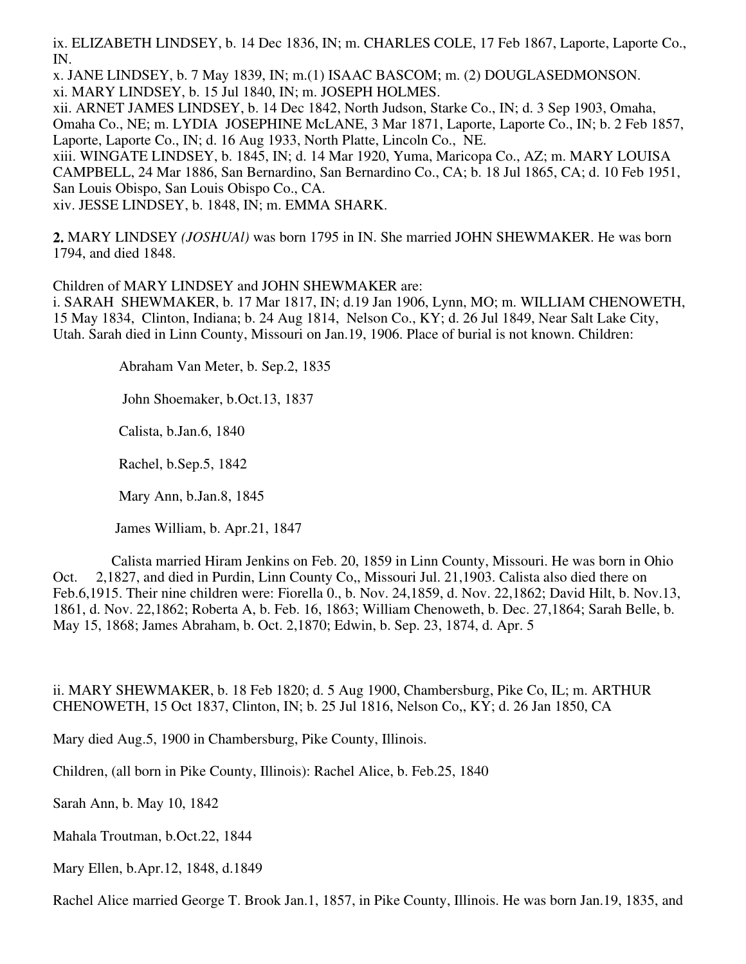ix. ELIZABETH LINDSEY, b. 14 Dec 1836, IN; m. CHARLES COLE, 17 Feb 1867, Laporte, Laporte Co., IN.

x. JANE LINDSEY, b. 7 May 1839, IN; m.(1) ISAAC BASCOM; m. (2) DOUGLASEDMONSON. xi. MARY LINDSEY, b. 15 Jul 1840, IN; m. JOSEPH HOLMES.

xii. ARNET JAMES LINDSEY, b. 14 Dec 1842, North Judson, Starke Co., IN; d. 3 Sep 1903, Omaha, Omaha Co., NE; m. LYDIA JOSEPHINE McLANE, 3 Mar 1871, Laporte, Laporte Co., IN; b. 2 Feb 1857, Laporte, Laporte Co., IN; d. 16 Aug 1933, North Platte, Lincoln Co., NE.

xiii. WINGATE LINDSEY, b. 1845, IN; d. 14 Mar 1920, Yuma, Maricopa Co., AZ; m. MARY LOUISA CAMPBELL, 24 Mar 1886, San Bernardino, San Bernardino Co., CA; b. 18 Jul 1865, CA; d. 10 Feb 1951, San Louis Obispo, San Louis Obispo Co., CA.

xiv. JESSE LINDSEY, b. 1848, IN; m. EMMA SHARK.

**2.** MARY LINDSEY *(JOSHUAl)* was born 1795 in IN. She married JOHN SHEWMAKER. He was born 1794, and died 1848.

Children of MARY LINDSEY and JOHN SHEWMAKER are:

i. SARAH SHEWMAKER, b. 17 Mar 1817, IN; d.19 Jan 1906, Lynn, MO; m. WILLIAM CHENOWETH, 15 May 1834, Clinton, Indiana; b. 24 Aug 1814, Nelson Co., KY; d. 26 Jul 1849, Near Salt Lake City, Utah. Sarah died in Linn County, Missouri on Jan.19, 1906. Place of burial is not known. Children:

Abraham Van Meter, b. Sep.2, 1835

John Shoemaker, b.Oct.13, 1837

Calista, b.Jan.6, 1840

Rachel, b.Sep.5, 1842

Mary Ann, b.Jan.8, 1845

James William, b. Apr.21, 1847

 Calista married Hiram Jenkins on Feb. 20, 1859 in Linn County, Missouri. He was born in Ohio Oct. 2,1827, and died in Purdin, Linn County Co,, Missouri Jul. 21,1903. Calista also died there on Feb.6,1915. Their nine children were: Fiorella 0., b. Nov. 24,1859, d. Nov. 22,1862; David Hilt, b. Nov.13, 1861, d. Nov. 22,1862; Roberta A, b. Feb. 16, 1863; William Chenoweth, b. Dec. 27,1864; Sarah Belle, b. May 15, 1868; James Abraham, b. Oct. 2,1870; Edwin, b. Sep. 23, 1874, d. Apr. 5

ii. MARY SHEWMAKER, b. 18 Feb 1820; d. 5 Aug 1900, Chambersburg, Pike Co, IL; m. ARTHUR CHENOWETH, 15 Oct 1837, Clinton, IN; b. 25 Jul 1816, Nelson Co,, KY; d. 26 Jan 1850, CA

Mary died Aug.5, 1900 in Chambersburg, Pike County, Illinois.

Children, (all born in Pike County, Illinois): Rachel Alice, b. Feb.25, 1840

Sarah Ann, b. May 10, 1842

Mahala Troutman, b.Oct.22, 1844

Mary Ellen, b.Apr.12, 1848, d.1849

Rachel Alice married George T. Brook Jan.1, 1857, in Pike County, Illinois. He was born Jan.19, 1835, and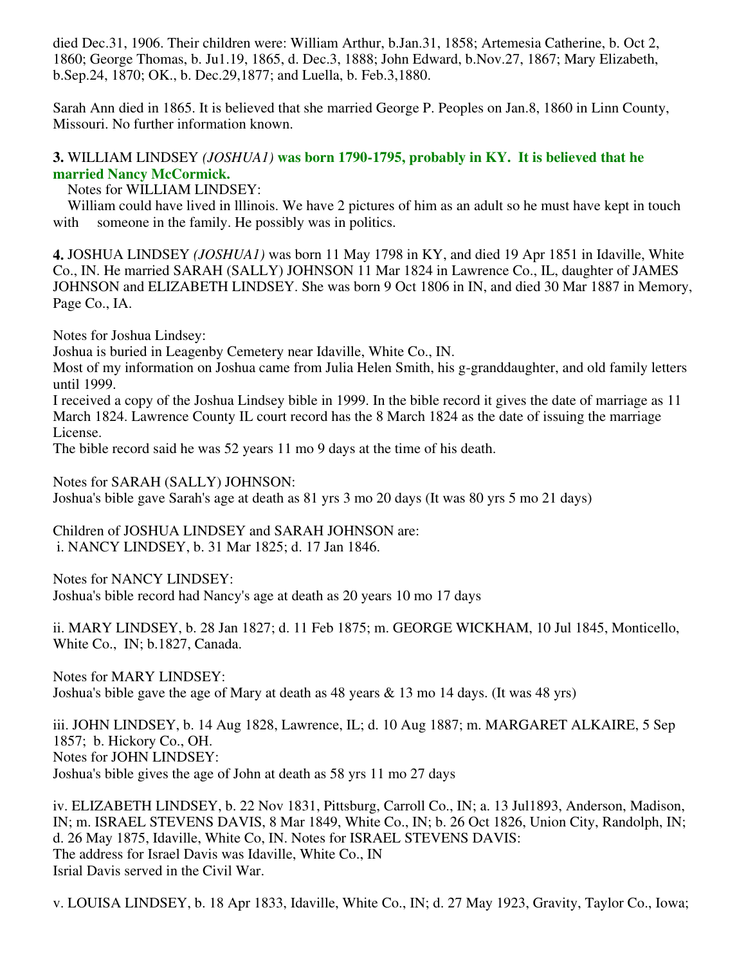died Dec.31, 1906. Their children were: William Arthur, b.Jan.31, 1858; Artemesia Catherine, b. Oct 2, 1860; George Thomas, b. Ju1.19, 1865, d. Dec.3, 1888; John Edward, b.Nov.27, 1867; Mary Elizabeth, b.Sep.24, 1870; OK., b. Dec.29,1877; and Luella, b. Feb.3,1880.

Sarah Ann died in 1865. It is believed that she married George P. Peoples on Jan.8, 1860 in Linn County, Missouri. No further information known.

## **3.** WILLIAM LINDSEY *(JOSHUA1)* **was born 1790-1795, probably in KY. It is believed that he married Nancy McCormick.**

Notes for WILLIAM LINDSEY:

 William could have lived in lllinois. We have 2 pictures of him as an adult so he must have kept in touch with someone in the family. He possibly was in politics.

**4.** JOSHUA LINDSEY *(JOSHUA1)* was born 11 May 1798 in KY, and died 19 Apr 1851 in Idaville, White Co., IN. He married SARAH (SALLY) JOHNSON 11 Mar 1824 in Lawrence Co., IL, daughter of JAMES JOHNSON and ELIZABETH LINDSEY. She was born 9 Oct 1806 in IN, and died 30 Mar 1887 in Memory, Page Co., IA.

Notes for Joshua Lindsey:

Joshua is buried in Leagenby Cemetery near Idaville, White Co., IN.

Most of my information on Joshua came from Julia Helen Smith, his g-granddaughter, and old family letters until 1999.

I received a copy of the Joshua Lindsey bible in 1999. In the bible record it gives the date of marriage as 11 March 1824. Lawrence County IL court record has the 8 March 1824 as the date of issuing the marriage License.

The bible record said he was 52 years 11 mo 9 days at the time of his death.

Notes for SARAH (SALLY) JOHNSON:

Joshua's bible gave Sarah's age at death as 81 yrs 3 mo 20 days (It was 80 yrs 5 mo 21 days)

Children of JOSHUA LINDSEY and SARAH JOHNSON are: i. NANCY LINDSEY, b. 31 Mar 1825; d. 17 Jan 1846.

Notes for NANCY LINDSEY: Joshua's bible record had Nancy's age at death as 20 years 10 mo 17 days

ii. MARY LINDSEY, b. 28 Jan 1827; d. 11 Feb 1875; m. GEORGE WICKHAM, 10 Jul 1845, Monticello, White Co., IN; b.1827, Canada.

Notes for MARY LINDSEY: Joshua's bible gave the age of Mary at death as 48 years & 13 mo 14 days. (It was 48 yrs)

iii. JOHN LINDSEY, b. 14 Aug 1828, Lawrence, IL; d. 10 Aug 1887; m. MARGARET ALKAIRE, 5 Sep 1857; b. Hickory Co., OH. Notes for JOHN LINDSEY: Joshua's bible gives the age of John at death as 58 yrs 11 mo 27 days

iv. ELIZABETH LINDSEY, b. 22 Nov 1831, Pittsburg, Carroll Co., IN; a. 13 Jul1893, Anderson, Madison, IN; m. ISRAEL STEVENS DAVIS, 8 Mar 1849, White Co., IN; b. 26 Oct 1826, Union City, Randolph, IN; d. 26 May 1875, Idaville, White Co, IN. Notes for ISRAEL STEVENS DAVIS: The address for Israel Davis was Idaville, White Co., IN Isrial Davis served in the Civil War.

v. LOUISA LINDSEY, b. 18 Apr 1833, Idaville, White Co., IN; d. 27 May 1923, Gravity, Taylor Co., Iowa;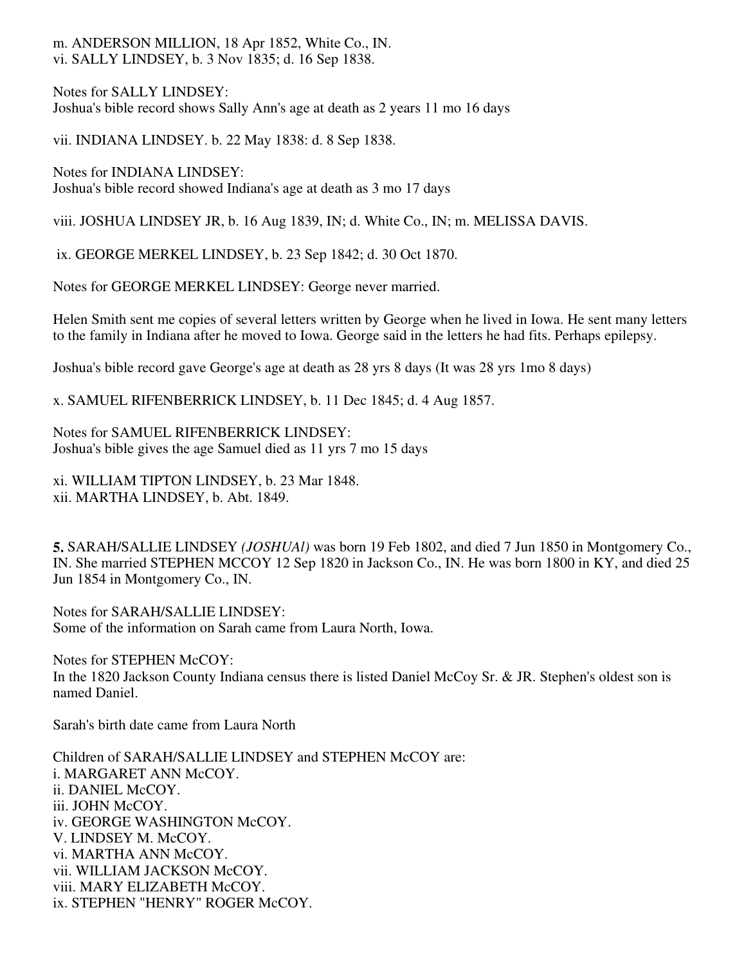## m. ANDERSON MILLION, 18 Apr 1852, White Co., IN. vi. SALLY LINDSEY, b. 3 Nov 1835; d. 16 Sep 1838.

Notes for SALLY LINDSEY: Joshua's bible record shows Sally Ann's age at death as 2 years 11 mo 16 days

vii. INDIANA LINDSEY. b. 22 May 1838: d. 8 Sep 1838.

Notes for INDIANA LINDSEY: Joshua's bible record showed Indiana's age at death as 3 mo 17 days

viii. JOSHUA LINDSEY JR, b. 16 Aug 1839, IN; d. White Co., IN; m. MELISSA DAVIS.

ix. GEORGE MERKEL LINDSEY, b. 23 Sep 1842; d. 30 Oct 1870.

Notes for GEORGE MERKEL LINDSEY: George never married.

Helen Smith sent me copies of several letters written by George when he lived in Iowa. He sent many letters to the family in Indiana after he moved to Iowa. George said in the letters he had fits. Perhaps epilepsy.

Joshua's bible record gave George's age at death as 28 yrs 8 days (It was 28 yrs 1mo 8 days)

x. SAMUEL RIFENBERRICK LINDSEY, b. 11 Dec 1845; d. 4 Aug 1857.

Notes for SAMUEL RIFENBERRICK LINDSEY: Joshua's bible gives the age Samuel died as 11 yrs 7 mo 15 days

xi. WILLIAM TIPTON LINDSEY, b. 23 Mar 1848. xii. MARTHA LINDSEY, b. Abt. 1849.

**5.** SARAH/SALLIE LINDSEY *(JOSHUAl)* was born 19 Feb 1802, and died 7 Jun 1850 in Montgomery Co., IN. She married STEPHEN MCCOY 12 Sep 1820 in Jackson Co., IN. He was born 1800 in KY, and died 25 Jun 1854 in Montgomery Co., IN.

Notes for SARAH/SALLIE LINDSEY: Some of the information on Sarah came from Laura North, Iowa.

Notes for STEPHEN McCOY: In the 1820 Jackson County Indiana census there is listed Daniel McCoy Sr. & JR. Stephen's oldest son is named Daniel.

Sarah's birth date came from Laura North

Children of SARAH/SALLIE LINDSEY and STEPHEN McCOY are: i. MARGARET ANN McCOY. ii. DANIEL McCOY. iii. JOHN McCOY. iv. GEORGE WASHINGTON McCOY. V. LINDSEY M. McCOY. vi. MARTHA ANN McCOY. vii. WILLIAM JACKSON McCOY. viii. MARY ELIZABETH McCOY. ix. STEPHEN "HENRY" ROGER McCOY.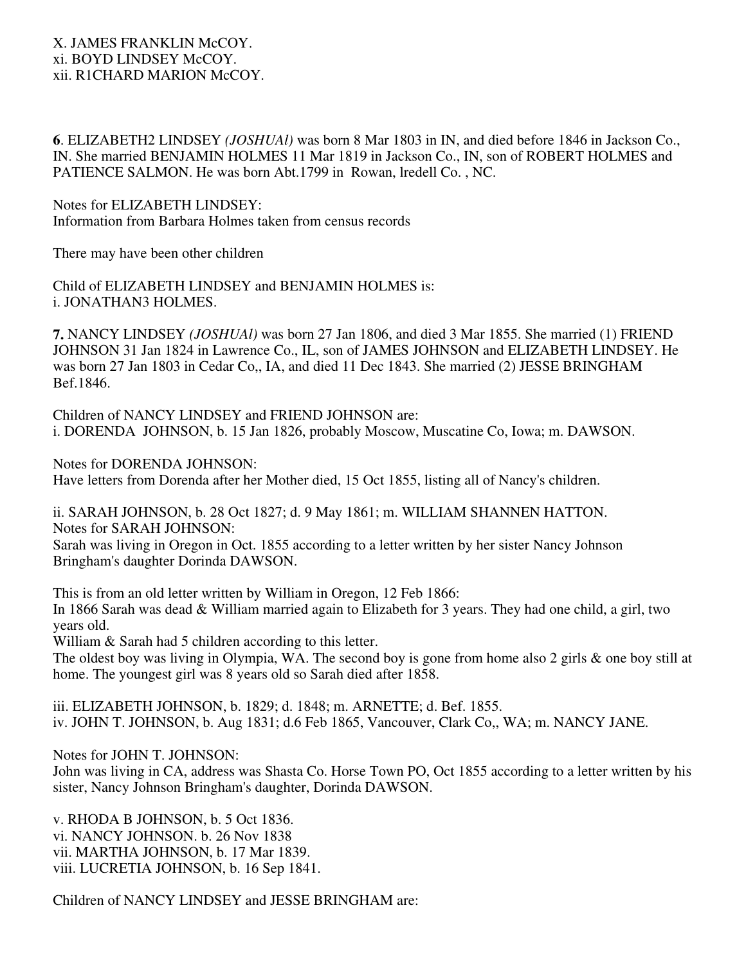**6**. ELIZABETH2 LINDSEY *(JOSHUAl)* was born 8 Mar 1803 in IN, and died before 1846 in Jackson Co., IN. She married BENJAMIN HOLMES 11 Mar 1819 in Jackson Co., IN, son of ROBERT HOLMES and PATIENCE SALMON. He was born Abt.1799 in Rowan, lredell Co. , NC.

Notes for ELIZABETH LINDSEY: Information from Barbara Holmes taken from census records

There may have been other children

Child of ELIZABETH LINDSEY and BENJAMIN HOLMES is: i. JONATHAN3 HOLMES.

**7.** NANCY LINDSEY *(JOSHUAl)* was born 27 Jan 1806, and died 3 Mar 1855. She married (1) FRIEND JOHNSON 31 Jan 1824 in Lawrence Co., IL, son of JAMES JOHNSON and ELIZABETH LINDSEY. He was born 27 Jan 1803 in Cedar Co,, IA, and died 11 Dec 1843. She married (2) JESSE BRINGHAM Bef.1846.

Children of NANCY LINDSEY and FRIEND JOHNSON are: i. DORENDA JOHNSON, b. 15 Jan 1826, probably Moscow, Muscatine Co, Iowa; m. DAWSON.

Notes for DORENDA JOHNSON:

Have letters from Dorenda after her Mother died, 15 Oct 1855, listing all of Nancy's children.

ii. SARAH JOHNSON, b. 28 Oct 1827; d. 9 May 1861; m. WILLIAM SHANNEN HATTON. Notes for SARAH JOHNSON:

Sarah was living in Oregon in Oct. 1855 according to a letter written by her sister Nancy Johnson Bringham's daughter Dorinda DAWSON.

This is from an old letter written by William in Oregon, 12 Feb 1866: In 1866 Sarah was dead & William married again to Elizabeth for 3 years. They had one child, a girl, two years old.

William & Sarah had 5 children according to this letter.

The oldest boy was living in Olympia, WA. The second boy is gone from home also 2 girls & one boy still at home. The youngest girl was 8 years old so Sarah died after 1858.

iii. ELIZABETH JOHNSON, b. 1829; d. 1848; m. ARNETTE; d. Bef. 1855. iv. JOHN T. JOHNSON, b. Aug 1831; d.6 Feb 1865, Vancouver, Clark Co,, WA; m. NANCY JANE.

Notes for JOHN T. JOHNSON:

John was living in CA, address was Shasta Co. Horse Town PO, Oct 1855 according to a letter written by his sister, Nancy Johnson Bringham's daughter, Dorinda DAWSON.

v. RHODA B JOHNSON, b. 5 Oct 1836. vi. NANCY JOHNSON. b. 26 Nov 1838 vii. MARTHA JOHNSON, b. 17 Mar 1839. viii. LUCRETIA JOHNSON, b. 16 Sep 1841.

Children of NANCY LINDSEY and JESSE BRINGHAM are: